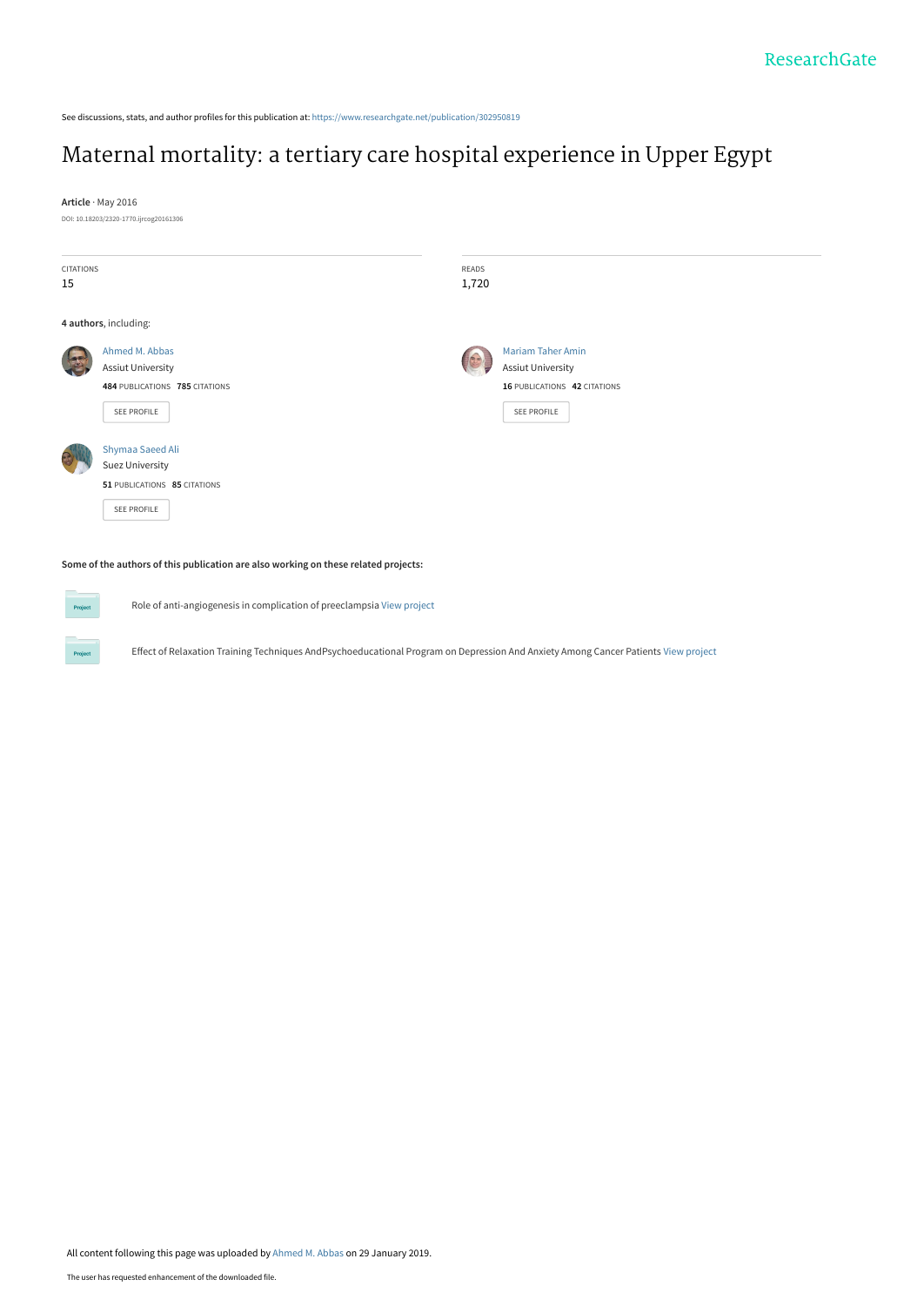See discussions, stats, and author profiles for this publication at: [https://www.researchgate.net/publication/302950819](https://www.researchgate.net/publication/302950819_Maternal_mortality_a_tertiary_care_hospital_experience_in_Upper_Egypt?enrichId=rgreq-f5100ed7a6acc6218324af3af6f94244-XXX&enrichSource=Y292ZXJQYWdlOzMwMjk1MDgxOTtBUzo3MjA1MDMxOTA4NzIwNjhAMTU0ODc5Mjc1NTkzMg%3D%3D&el=1_x_2&_esc=publicationCoverPdf)

# [Maternal mortality: a tertiary care hospital experience in Upper Egypt](https://www.researchgate.net/publication/302950819_Maternal_mortality_a_tertiary_care_hospital_experience_in_Upper_Egypt?enrichId=rgreq-f5100ed7a6acc6218324af3af6f94244-XXX&enrichSource=Y292ZXJQYWdlOzMwMjk1MDgxOTtBUzo3MjA1MDMxOTA4NzIwNjhAMTU0ODc5Mjc1NTkzMg%3D%3D&el=1_x_3&_esc=publicationCoverPdf)

**Article** · May 2016

DOI: 10.18203/2320-1770.ijrcog20161306

| <b>CITATIONS</b> |                                                                     | READS |                              |
|------------------|---------------------------------------------------------------------|-------|------------------------------|
| 15               |                                                                     | 1,720 |                              |
|                  | 4 authors, including:                                               |       |                              |
|                  | Ahmed M. Abbas                                                      |       | <b>Mariam Taher Amin</b>     |
|                  | Assiut University                                                   |       | <b>Assiut University</b>     |
|                  | 484 PUBLICATIONS 785 CITATIONS                                      |       | 16 PUBLICATIONS 42 CITATIONS |
|                  | SEE PROFILE                                                         |       | SEE PROFILE                  |
|                  | Shymaa Saeed Ali<br>Suez University<br>51 PUBLICATIONS 85 CITATIONS |       |                              |
|                  | SEE PROFILE                                                         |       |                              |

#### **Some of the authors of this publication are also working on these related projects:**

Role of anti-angiogenesis in complication of preeclampsia [View project](https://www.researchgate.net/project/Role-of-anti-angiogenesis-in-complication-of-preeclampsia?enrichId=rgreq-f5100ed7a6acc6218324af3af6f94244-XXX&enrichSource=Y292ZXJQYWdlOzMwMjk1MDgxOTtBUzo3MjA1MDMxOTA4NzIwNjhAMTU0ODc5Mjc1NTkzMg%3D%3D&el=1_x_9&_esc=publicationCoverPdf)

Effect of Relaxation Training Techniques AndPsychoeducational Program on Depression And Anxiety Among Cancer Patients [View project](https://www.researchgate.net/project/Effect-of-Relaxation-Training-Techniques-AndPsychoeducational-Program-on-Depression-And-Anxiety-Among-Cancer-Patients?enrichId=rgreq-f5100ed7a6acc6218324af3af6f94244-XXX&enrichSource=Y292ZXJQYWdlOzMwMjk1MDgxOTtBUzo3MjA1MDMxOTA4NzIwNjhAMTU0ODc5Mjc1NTkzMg%3D%3D&el=1_x_9&_esc=publicationCoverPdf)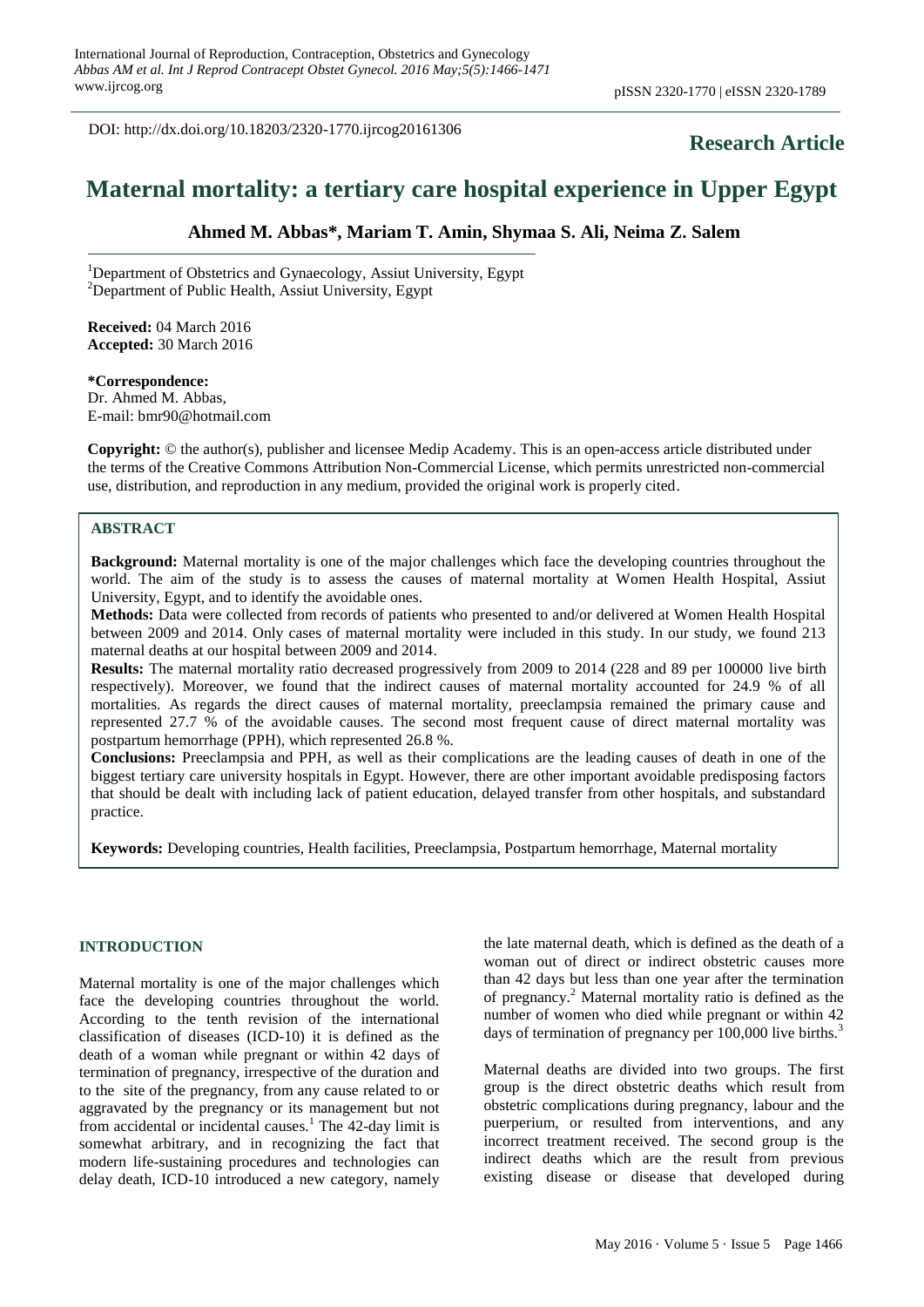DOI: http://dx.doi.org/10.18203/2320-1770.ijrcog20161306

# **Research Article**

# **Maternal mortality: a tertiary care hospital experience in Upper Egypt**

### **Ahmed M. Abbas\*, Mariam T. Amin, Shymaa S. Ali, Neima Z. Salem**

<sup>1</sup>Department of Obstetrics and Gynaecology, Assiut University, Egypt <sup>2</sup>Department of Public Health, Assiut University, Egypt

**Received:** 04 March 2016 **Accepted:** 30 March 2016

**\*Correspondence:** Dr. Ahmed M. Abbas, E-mail: bmr90@hotmail.com

**Copyright:** © the author(s), publisher and licensee Medip Academy. This is an open-access article distributed under the terms of the Creative Commons Attribution Non-Commercial License, which permits unrestricted non-commercial use, distribution, and reproduction in any medium, provided the original work is properly cited.

#### **ABSTRACT**

**Background:** Maternal mortality is one of the major challenges which face the developing countries throughout the world. The aim of the study is to assess the causes of maternal mortality at Women Health Hospital, Assiut University, Egypt, and to identify the avoidable ones.

**Methods:** Data were collected from records of patients who presented to and/or delivered at Women Health Hospital between 2009 and 2014. Only cases of maternal mortality were included in this study. In our study, we found 213 maternal deaths at our hospital between 2009 and 2014.

**Results:** The maternal mortality ratio decreased progressively from 2009 to 2014 (228 and 89 per 100000 live birth respectively). Moreover, we found that the indirect causes of maternal mortality accounted for 24.9 % of all mortalities. As regards the direct causes of maternal mortality, preeclampsia remained the primary cause and represented 27.7 % of the avoidable causes. The second most frequent cause of direct maternal mortality was postpartum hemorrhage (PPH), which represented 26.8 %.

**Conclusions:** Preeclampsia and PPH, as well as their complications are the leading causes of death in one of the biggest tertiary care university hospitals in Egypt. However, there are other important avoidable predisposing factors that should be dealt with including lack of patient education, delayed transfer from other hospitals, and substandard practice.

**Keywords:** Developing countries, Health facilities, Preeclampsia, Postpartum hemorrhage, Maternal mortality

#### **INTRODUCTION**

Maternal mortality is one of the major challenges which face the developing countries throughout the world. According to the tenth revision of the international classification of diseases (ICD-10) it is defined as the death of a woman while pregnant or within 42 days of termination of pregnancy, irrespective of the duration and to the site of the pregnancy, from any cause related to or aggravated by the pregnancy or its management but not from accidental or incidental causes.<sup>1</sup> The 42-day limit is somewhat arbitrary, and in recognizing the fact that modern life-sustaining procedures and technologies can delay death, ICD-10 introduced a new category, namely the late maternal death, which is defined as the death of a woman out of direct or indirect obstetric causes more than 42 days but less than one year after the termination of pregnancy.<sup>2</sup> Maternal mortality ratio is defined as the number of women who died while pregnant or within 42 days of termination of pregnancy per 100,000 live births.<sup>3</sup>

Maternal deaths are divided into two groups. The first group is the direct obstetric deaths which result from obstetric complications during pregnancy, labour and the puerperium, or resulted from interventions, and any incorrect treatment received. The second group is the indirect deaths which are the result from previous existing disease or disease that developed during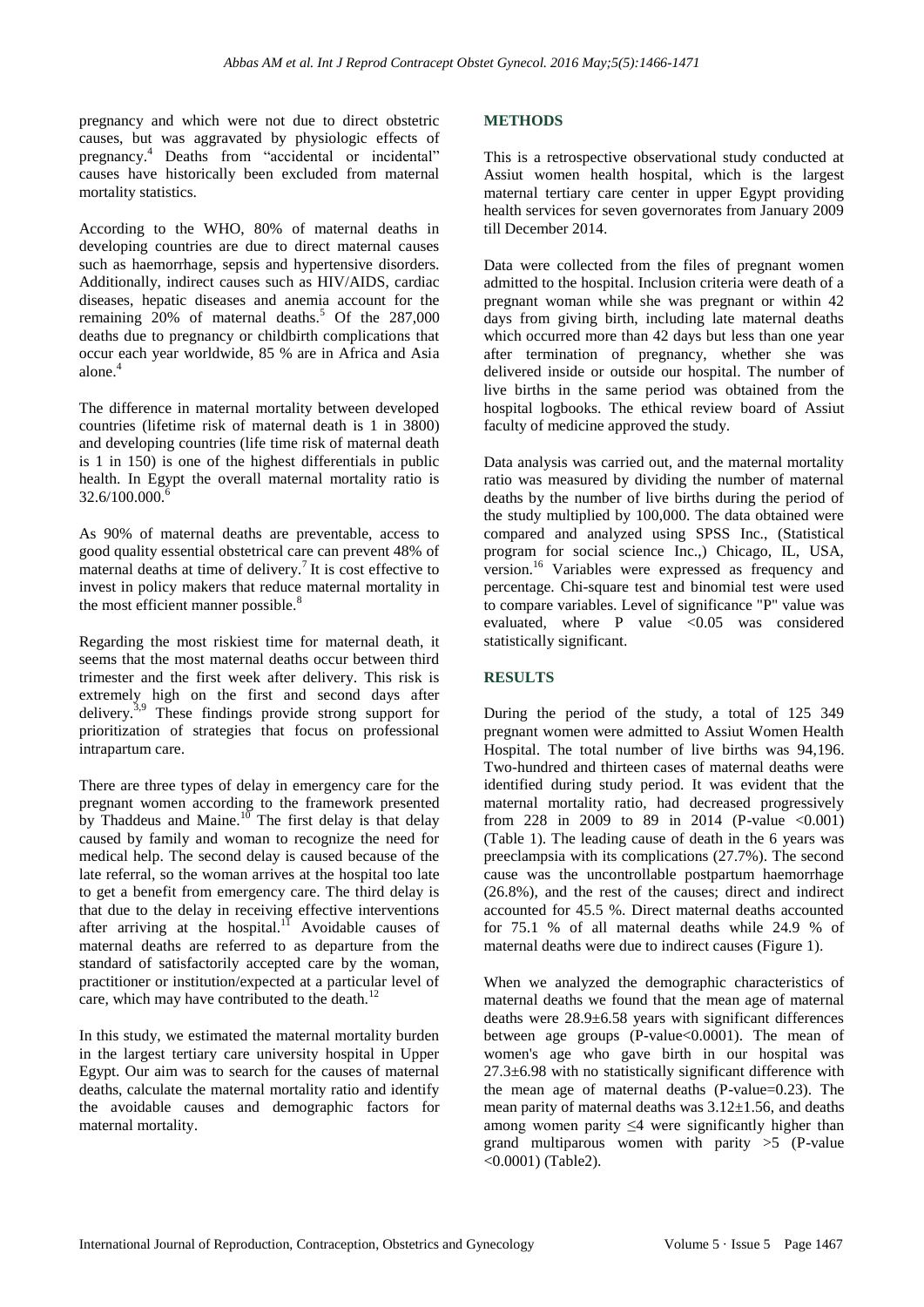pregnancy and which were not due to direct obstetric causes, but was aggravated by physiologic effects of pregnancy.<sup>4</sup> Deaths from "accidental or incidental" causes have historically been excluded from maternal mortality statistics.

According to the WHO, 80% of maternal deaths in developing countries are due to direct maternal causes such as haemorrhage, sepsis and hypertensive disorders. Additionally, indirect causes such as HIV/AIDS, cardiac diseases, hepatic diseases and anemia account for the remaining  $20\%$  of maternal deaths.<sup>5</sup> Of the 287,000 deaths due to pregnancy or childbirth complications that occur each year worldwide, 85 % are in Africa and Asia alone.<sup>4</sup>

The difference in maternal mortality between developed countries (lifetime risk of maternal death is 1 in 3800) and developing countries (life time risk of maternal death is 1 in 150) is one of the highest differentials in public health. In Egypt the overall maternal mortality ratio is  $32.6/100.000$ .

As 90% of maternal deaths are preventable, access to good quality essential obstetrical care can prevent 48% of maternal deaths at time of delivery.<sup>7</sup> It is cost effective to invest in policy makers that reduce maternal mortality in the most efficient manner possible.<sup>8</sup>

Regarding the most riskiest time for maternal death, it seems that the most maternal deaths occur between third trimester and the first week after delivery. This risk is extremely high on the first and second days after delivery.<sup>3,9</sup> These findings provide strong support for prioritization of strategies that focus on professional intrapartum care.

There are three types of delay in emergency care for the pregnant women according to the framework presented by Thaddeus and Maine. $10$  The first delay is that delay caused by family and woman to recognize the need for medical help. The second delay is caused because of the late referral, so the woman arrives at the hospital too late to get a benefit from emergency care. The third delay is that due to the delay in receiving effective interventions after arriving at the hospital.<sup>11</sup> Avoidable causes of maternal deaths are referred to as departure from the standard of satisfactorily accepted care by the woman, practitioner or institution/expected at a particular level of care, which may have contributed to the death. $^{12}$ 

In this study, we estimated the maternal mortality burden in the largest tertiary care university hospital in Upper Egypt. Our aim was to search for the causes of maternal deaths, calculate the maternal mortality ratio and identify the avoidable causes and demographic factors for maternal mortality.

### **METHODS**

This is a retrospective observational study conducted at Assiut women health hospital, which is the largest maternal tertiary care center in upper Egypt providing health services for seven governorates from January 2009 till December 2014.

Data were collected from the files of pregnant women admitted to the hospital. Inclusion criteria were death of a pregnant woman while she was pregnant or within 42 days from giving birth, including late maternal deaths which occurred more than 42 days but less than one year after termination of pregnancy, whether she was delivered inside or outside our hospital. The number of live births in the same period was obtained from the hospital logbooks. The ethical review board of Assiut faculty of medicine approved the study.

Data analysis was carried out, and the maternal mortality ratio was measured by dividing the number of maternal deaths by the number of live births during the period of the study multiplied by 100,000. The data obtained were compared and analyzed using SPSS Inc., (Statistical program for social science Inc.,) Chicago, IL, USA, version. <sup>16</sup> Variables were expressed as frequency and percentage. Chi-square test and binomial test were used to compare variables. Level of significance "P" value was evaluated, where P value  $\langle 0.05$  was considered statistically significant.

## **RESULTS**

During the period of the study, a total of 125 349 pregnant women were admitted to Assiut Women Health Hospital. The total number of live births was 94,196. Two-hundred and thirteen cases of maternal deaths were identified during study period. It was evident that the maternal mortality ratio, had decreased progressively from 228 in 2009 to 89 in 2014 (P-value  $\leq 0.001$ ) (Table 1). The leading cause of death in the 6 years was preeclampsia with its complications (27.7%). The second cause was the uncontrollable postpartum haemorrhage (26.8%), and the rest of the causes; direct and indirect accounted for 45.5 %. Direct maternal deaths accounted for 75.1 % of all maternal deaths while 24.9 % of maternal deaths were due to indirect causes (Figure 1).

When we analyzed the demographic characteristics of maternal deaths we found that the mean age of maternal deaths were 28.9±6.58 years with significant differences between age groups (P-value<0.0001). The mean of women's age who gave birth in our hospital was 27.3±6.98 with no statistically significant difference with the mean age of maternal deaths (P-value=0.23). The mean parity of maternal deaths was  $3.12 \pm 1.56$ , and deaths among women parity ≤4 were significantly higher than grand multiparous women with parity >5 (P-value <0.0001) (Table2).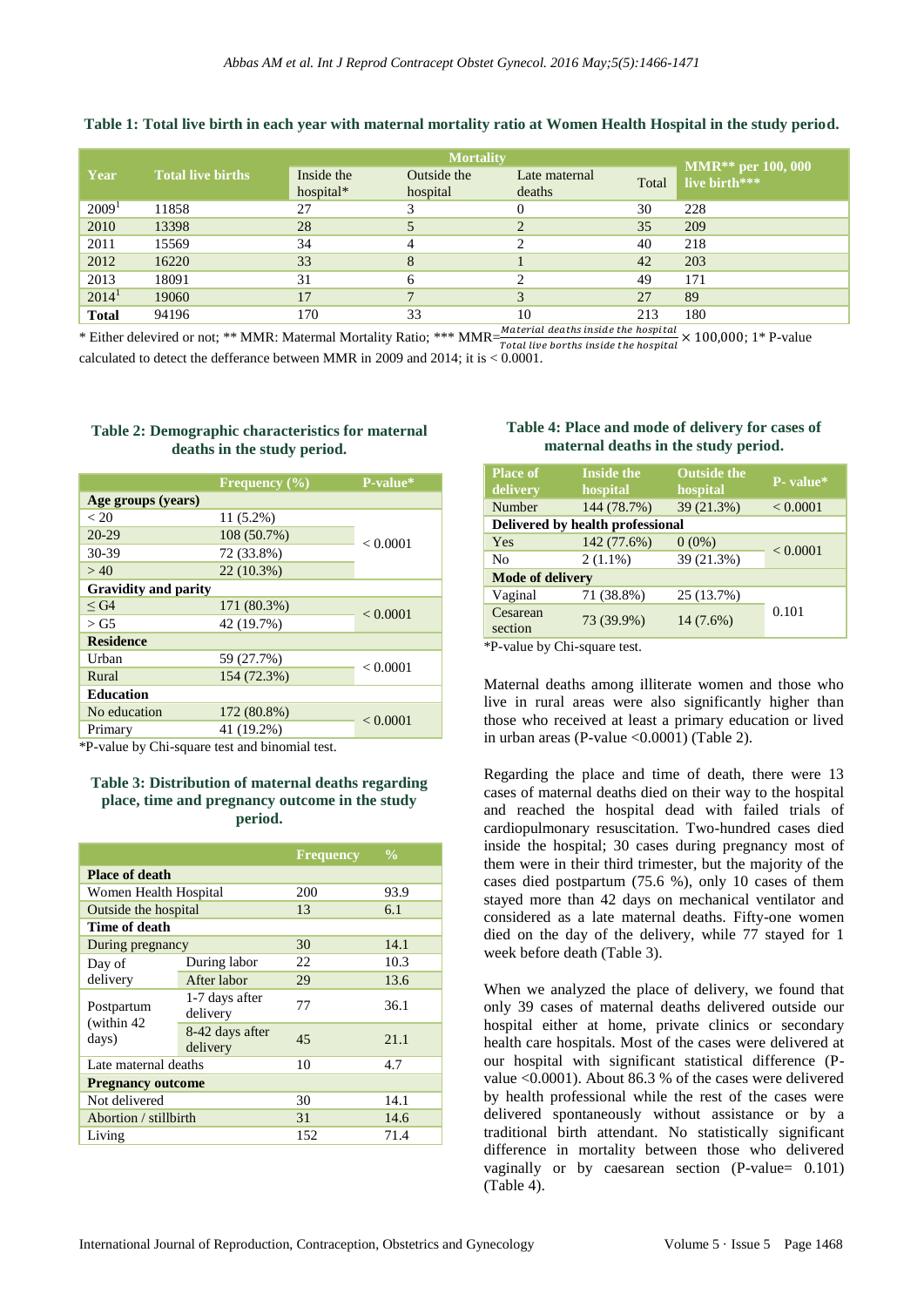|                   |                          | <b>Mortality</b>        |                         |                         |       |                                       |
|-------------------|--------------------------|-------------------------|-------------------------|-------------------------|-------|---------------------------------------|
| Year              | <b>Total live births</b> | Inside the<br>hospital* | Outside the<br>hospital | Late maternal<br>deaths | Total | $MMR**$ per 100, 000<br>live birth*** |
| 2009 <sup>1</sup> | 11858                    | 27                      |                         |                         | 30    | 228                                   |
| 2010              | 13398                    | 28                      |                         | $\bigcap$               | 35    | 209                                   |
| 2011              | 15569                    | 34                      |                         |                         | 40    | 218                                   |
| 2012              | 16220                    | 33                      | 8                       |                         | 42    | 203                                   |
| 2013              | 18091                    | 31                      | 6                       |                         | 49    | 171                                   |
| 2014 <sup>1</sup> | 19060                    | 17                      | $\overline{7}$          | 3                       | 27    | 89                                    |
| <b>Total</b>      | 94196                    | 170                     | 33                      | 10                      | 213   | 180                                   |

#### **Table 1: Total live birth in each year with maternal mortality ratio at Women Health Hospital in the study period.**

\* Either delevired or not; \*\* MMR: Matermal Mortality Ratio; \*\*\*  $MMR = \frac{Material\ deaths\ inside\ the\ hospital} {Total\ live\ bottles\ inside\ the\ hospital} \times 100,000;$  1\* P-value calculated to detect the defferance between MMR in 2009 and 2014; it is < 0.0001.

|                             | <b>Frequency</b> $\overline{(\%)}$ | P-value* |  |  |
|-----------------------------|------------------------------------|----------|--|--|
| Age groups (years)          |                                    |          |  |  |
| < 20                        | 11 (5.2%)                          |          |  |  |
| 20-29                       | 108 (50.7%)                        | < 0.0001 |  |  |
| $30-39$                     | 72 (33.8%)                         |          |  |  |
| >40                         | 22 (10.3%)                         |          |  |  |
| <b>Gravidity and parity</b> |                                    |          |  |  |
| $\leq$ G4                   | 171 (80.3%)                        |          |  |  |
| $>\mathrm{G}5$              | 42 (19.7%)                         | < 0.0001 |  |  |
| <b>Residence</b>            |                                    |          |  |  |
| Urban                       | 59 (27.7%)                         | < 0.0001 |  |  |
| Rural                       | 154 (72.3%)                        |          |  |  |
| <b>Education</b>            |                                    |          |  |  |
| No education                | 172 (80.8%)                        | < 0.0001 |  |  |
| Primary                     | 41 (19.2%)                         |          |  |  |

#### **Table 2: Demographic characteristics for maternal deaths in the study period.**

\*P-value by Chi-square test and binomial test.

#### **Table 3: Distribution of maternal deaths regarding place, time and pregnancy outcome in the study period.**

|                             | <b>Frequency</b> | $\frac{0}{0}$ |  |  |  |
|-----------------------------|------------------|---------------|--|--|--|
| <b>Place of death</b>       |                  |               |  |  |  |
| Women Health Hospital       |                  | 93.9          |  |  |  |
| Outside the hospital        | 13               | 6.1           |  |  |  |
| Time of death               |                  |               |  |  |  |
| During pregnancy            |                  | 14.1          |  |  |  |
| During labor                | 22               | 10.3          |  |  |  |
| After labor                 | 29               | 13.6          |  |  |  |
| 1-7 days after<br>delivery  | 77               | 36.1          |  |  |  |
| 8-42 days after<br>delivery | 45               | 21.1          |  |  |  |
| Late maternal deaths        | 10               | 4.7           |  |  |  |
| <b>Pregnancy outcome</b>    |                  |               |  |  |  |
|                             | 30               | 14.1          |  |  |  |
| Abortion / stillbirth       | 31               | 14.6          |  |  |  |
|                             | 152              | 71.4          |  |  |  |
|                             |                  | 200<br>30     |  |  |  |

#### **Table 4: Place and mode of delivery for cases of maternal deaths in the study period.**

| <b>Place of</b><br>delivery      | <b>Inside the</b><br>hospital | <b>Outside the</b><br>hospital | P- value* |  |  |
|----------------------------------|-------------------------------|--------------------------------|-----------|--|--|
| Number                           | 144 (78.7%)                   | 39 (21.3%)                     | < 0.0001  |  |  |
| Delivered by health professional |                               |                                |           |  |  |
| Yes                              | 142 (77.6%)                   | $0(0\%)$                       | < 0.0001  |  |  |
| N <sub>0</sub>                   | $2(1.1\%)$                    | 39 (21.3%)                     |           |  |  |
| <b>Mode of delivery</b>          |                               |                                |           |  |  |
| Vaginal                          | 71 (38.8%)                    | 25 (13.7%)                     |           |  |  |
| Cesarean<br>section              | 73 (39.9%)                    | 14 (7.6%)                      | 0.101     |  |  |

\*P-value by Chi-square test.

Maternal deaths among illiterate women and those who live in rural areas were also significantly higher than those who received at least a primary education or lived in urban areas (P-value <0.0001) (Table 2).

Regarding the place and time of death, there were 13 cases of maternal deaths died on their way to the hospital and reached the hospital dead with failed trials of cardiopulmonary resuscitation. Two-hundred cases died inside the hospital; 30 cases during pregnancy most of them were in their third trimester, but the majority of the cases died postpartum (75.6 %), only 10 cases of them stayed more than 42 days on mechanical ventilator and considered as a late maternal deaths. Fifty-one women died on the day of the delivery, while 77 stayed for 1 week before death (Table 3).

When we analyzed the place of delivery, we found that only 39 cases of maternal deaths delivered outside our hospital either at home, private clinics or secondary health care hospitals. Most of the cases were delivered at our hospital with significant statistical difference (Pvalue <0.0001). About 86.3 % of the cases were delivered by health professional while the rest of the cases were delivered spontaneously without assistance or by a traditional birth attendant. No statistically significant difference in mortality between those who delivered vaginally or by caesarean section (P-value= 0.101) (Table 4).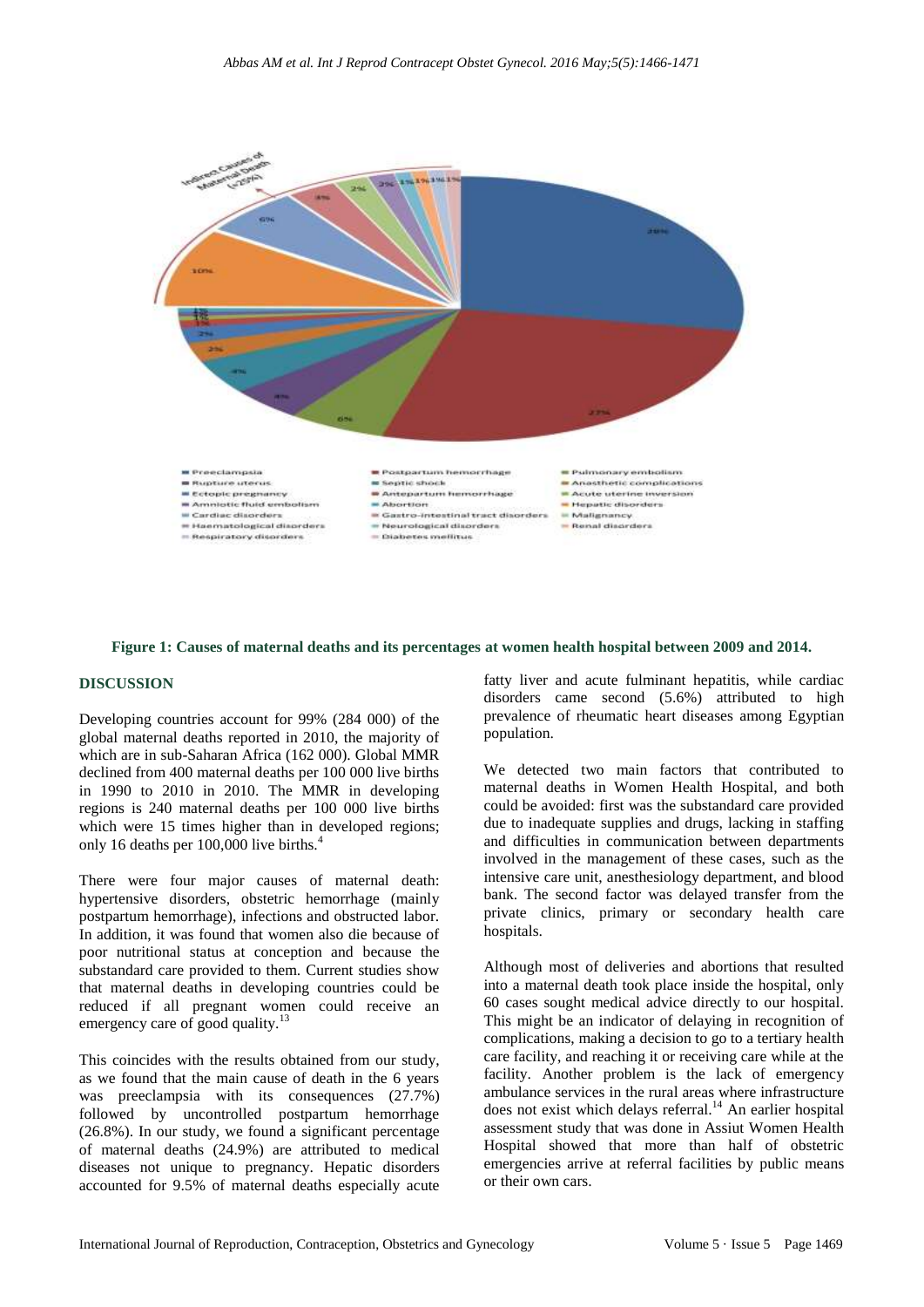

#### **Figure 1: Causes of maternal deaths and its percentages at women health hospital between 2009 and 2014.**

#### **DISCUSSION**

Developing countries account for 99% (284 000) of the global maternal deaths reported in 2010, the majority of which are in sub-Saharan Africa (162 000). Global MMR declined from 400 maternal deaths per 100 000 live births in 1990 to 2010 in 2010. The MMR in developing regions is 240 maternal deaths per 100 000 live births which were 15 times higher than in developed regions; only 16 deaths per 100,000 live births.<sup>4</sup>

There were four major causes of maternal death: hypertensive disorders, obstetric hemorrhage (mainly postpartum hemorrhage), infections and obstructed labor. In addition, it was found that women also die because of poor nutritional status at conception and because the substandard care provided to them. Current studies show that maternal deaths in developing countries could be reduced if all pregnant women could receive an emergency care of good quality. $13$ 

This coincides with the results obtained from our study, as we found that the main cause of death in the 6 years was preeclampsia with its consequences (27.7%) followed by uncontrolled postpartum hemorrhage (26.8%). In our study, we found a significant percentage of maternal deaths (24.9%) are attributed to medical diseases not unique to pregnancy. Hepatic disorders accounted for 9.5% of maternal deaths especially acute

fatty liver and acute fulminant hepatitis, while cardiac disorders came second (5.6%) attributed to high prevalence of rheumatic heart diseases among Egyptian population.

We detected two main factors that contributed to maternal deaths in Women Health Hospital, and both could be avoided: first was the substandard care provided due to inadequate supplies and drugs, lacking in staffing and difficulties in communication between departments involved in the management of these cases, such as the intensive care unit, anesthesiology department, and blood bank. The second factor was delayed transfer from the private clinics, primary or secondary health care hospitals.

Although most of deliveries and abortions that resulted into a maternal death took place inside the hospital, only 60 cases sought medical advice directly to our hospital. This might be an indicator of delaying in recognition of complications, making a decision to go to a tertiary health care facility, and reaching it or receiving care while at the facility. Another problem is the lack of emergency ambulance services in the rural areas where infrastructure does not exist which delays referral.<sup>14</sup> An earlier hospital assessment study that was done in Assiut Women Health Hospital showed that more than half of obstetric emergencies arrive at referral facilities by public means or their own cars.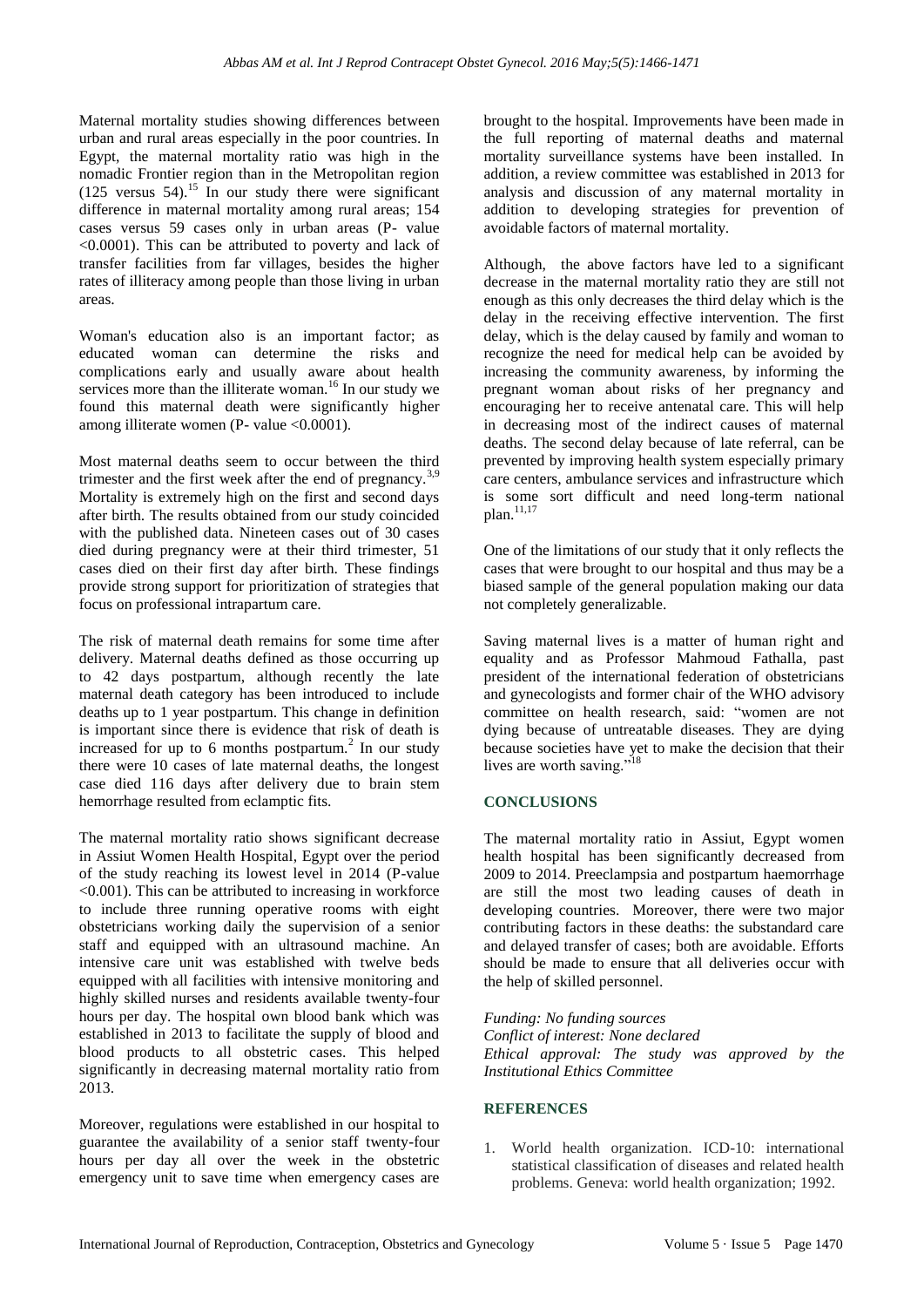Maternal mortality studies showing differences between urban and rural areas especially in the poor countries. In Egypt, the maternal mortality ratio was high in the nomadic Frontier region than in the Metropolitan region  $(125 \text{ versus } 54)$ .<sup>15</sup> In our study there were significant difference in maternal mortality among rural areas; 154 cases versus 59 cases only in urban areas (P- value <0.0001). This can be attributed to poverty and lack of transfer facilities from far villages, besides the higher rates of illiteracy among people than those living in urban areas.

Woman's education also is an important factor; as educated woman can determine the risks and complications early and usually aware about health services more than the illiterate woman.<sup>16</sup> In our study we found this maternal death were significantly higher among illiterate women (P- value <0.0001).

Most maternal deaths seem to occur between the third trimester and the first week after the end of pregnancy.<sup>3,9</sup> Mortality is extremely high on the first and second days after birth. The results obtained from our study coincided with the published data. Nineteen cases out of 30 cases died during pregnancy were at their third trimester, 51 cases died on their first day after birth. These findings provide strong support for prioritization of strategies that focus on professional intrapartum care.

The risk of maternal death remains for some time after delivery. Maternal deaths defined as those occurring up to 42 days postpartum, although recently the late maternal death category has been introduced to include deaths up to 1 year postpartum. This change in definition is important since there is evidence that risk of death is increased for up to 6 months postpartum.<sup>2</sup> In our study there were 10 cases of late maternal deaths, the longest case died 116 days after delivery due to brain stem hemorrhage resulted from eclamptic fits.

The maternal mortality ratio shows significant decrease in Assiut Women Health Hospital, Egypt over the period of the study reaching its lowest level in 2014 (P-value <0.001). This can be attributed to increasing in workforce to include three running operative rooms with eight obstetricians working daily the supervision of a senior staff and equipped with an ultrasound machine. An intensive care unit was established with twelve beds equipped with all facilities with intensive monitoring and highly skilled nurses and residents available twenty-four hours per day. The hospital own blood bank which was established in 2013 to facilitate the supply of blood and blood products to all obstetric cases. This helped significantly in decreasing maternal mortality ratio from 2013.

Moreover, regulations were established in our hospital to guarantee the availability of a senior staff twenty-four hours per day all over the week in the obstetric emergency unit to save time when emergency cases are brought to the hospital. Improvements have been made in the full reporting of maternal deaths and maternal mortality surveillance systems have been installed. In addition, a review committee was established in 2013 for analysis and discussion of any maternal mortality in addition to developing strategies for prevention of avoidable factors of maternal mortality.

Although, the above factors have led to a significant decrease in the maternal mortality ratio they are still not enough as this only decreases the third delay which is the delay in the receiving effective intervention. The first delay, which is the delay caused by family and woman to recognize the need for medical help can be avoided by increasing the community awareness, by informing the pregnant woman about risks of her pregnancy and encouraging her to receive antenatal care. This will help in decreasing most of the indirect causes of maternal deaths. The second delay because of late referral, can be prevented by improving health system especially primary care centers, ambulance services and infrastructure which is some sort difficult and need long-term national  $plan.$ <sup>11,17</sup>

One of the limitations of our study that it only reflects the cases that were brought to our hospital and thus may be a biased sample of the general population making our data not completely generalizable.

Saving maternal lives is a matter of human right and equality and as Professor Mahmoud Fathalla, past president of the international federation of obstetricians and gynecologists and former chair of the WHO advisory committee on health research, said: "women are not dying because of untreatable diseases. They are dying because societies have yet to make the decision that their lives are worth saving."<sup>18</sup>

## **CONCLUSIONS**

The maternal mortality ratio in Assiut, Egypt women health hospital has been significantly decreased from 2009 to 2014. Preeclampsia and postpartum haemorrhage are still the most two leading causes of death in developing countries. Moreover, there were two major contributing factors in these deaths: the substandard care and delayed transfer of cases; both are avoidable. Efforts should be made to ensure that all deliveries occur with the help of skilled personnel.

*Funding: No funding sources Conflict of interest: None declared Ethical approval: The study was approved by the Institutional Ethics Committee*

#### **REFERENCES**

1. World health organization. ICD-10: international statistical classification of diseases and related health problems. Geneva: world health organization; 1992.